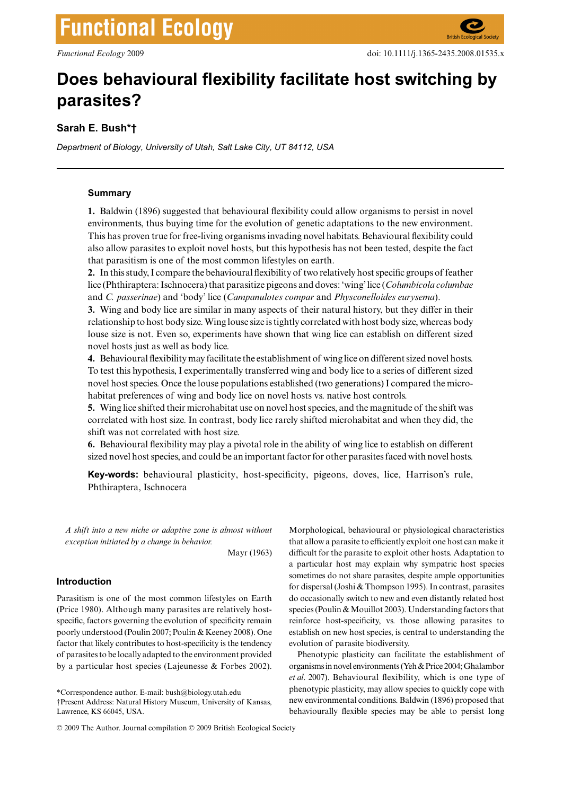# **Functional Ecology**

# **Does behavioural flexibility facilitate host switching by parasites?**

# **Sarah E. Bush\*†**

*Department of Biology, University of Utah, Salt Lake City, UT 84112, USA*

#### **Summary**

**1.** Baldwin (1896) suggested that behavioural flexibility could allow organisms to persist in novel environments, thus buying time for the evolution of genetic adaptations to the new environment. This has proven true for free-living organisms invading novel habitats. Behavioural flexibility could also allow parasites to exploit novel hosts, but this hypothesis has not been tested, despite the fact that parasitism is one of the most common lifestyles on earth.

**2.** In this study, I compare the behavioural flexibility of two relatively host specific groups of feather lice (Phthiraptera: Ischnocera) that parasitize pigeons and doves: 'wing' lice (*Columbicola columbae* and *C. passerinae*) and 'body' lice (*Campanulotes compar* and *Physconelloides eurysema*).

**3.** Wing and body lice are similar in many aspects of their natural history, but they differ in their relationship to host body size. Wing louse size is tightly correlated with host body size, whereas body louse size is not. Even so, experiments have shown that wing lice can establish on different sized novel hosts just as well as body lice.

**4.** Behavioural flexibility may facilitate the establishment of wing lice on different sized novel hosts. To test this hypothesis, I experimentally transferred wing and body lice to a series of different sized novel host species. Once the louse populations established (two generations) I compared the microhabitat preferences of wing and body lice on novel hosts vs. native host controls.

**5.** Wing lice shifted their microhabitat use on novel host species, and the magnitude of the shift was correlated with host size. In contrast, body lice rarely shifted microhabitat and when they did, the shift was not correlated with host size.

**6.** Behavioural flexibility may play a pivotal role in the ability of wing lice to establish on different sized novel host species, and could be an important factor for other parasites faced with novel hosts.

**Key-words:** behavioural plasticity, host-specificity, pigeons, doves, lice, Harrison's rule, Phthiraptera, Ischnocera

*Functional Ecology* (2009) **xx**, 000–000 *A shift into a new niche or adaptive zone is almost without exception initiated by a change in behavior.*

Mayr (1963)

# **Introduction**

Parasitism is one of the most common lifestyles on Earth (Price 1980). Although many parasites are relatively hostspecific, factors governing the evolution of specificity remain poorly understood (Poulin 2007; Poulin & Keeney 2008). One factor that likely contributes to host-specificity is the tendency of parasites to be locally adapted to the environment provided by a particular host species (Lajeunesse & Forbes 2002).

\*Correspondence author. E-mail: bush@biology.utah.edu †Present Address: Natural History Museum, University of Kansas, Lawrence, KS 66045, USA.

© 2009 The Author. Journal compilation © 2009 British Ecological Society

Morphological, behavioural or physiological characteristics that allow a parasite to efficiently exploit one host can make it difficult for the parasite to exploit other hosts. Adaptation to a particular host may explain why sympatric host species sometimes do not share parasites, despite ample opportunities for dispersal (Joshi & Thompson 1995). In contrast, parasites do occasionally switch to new and even distantly related host species (Poulin & Mouillot 2003). Understanding factors that reinforce host-specificity, vs. those allowing parasites to establish on new host species, is central to understanding the evolution of parasite biodiversity.

Phenotypic plasticity can facilitate the establishment of organisms in novel environments (Yeh & Price 2004; Ghalambor *et al*. 2007). Behavioural flexibility, which is one type of phenotypic plasticity, may allow species to quickly cope with new environmental conditions. Baldwin (1896) proposed that behaviourally flexible species may be able to persist long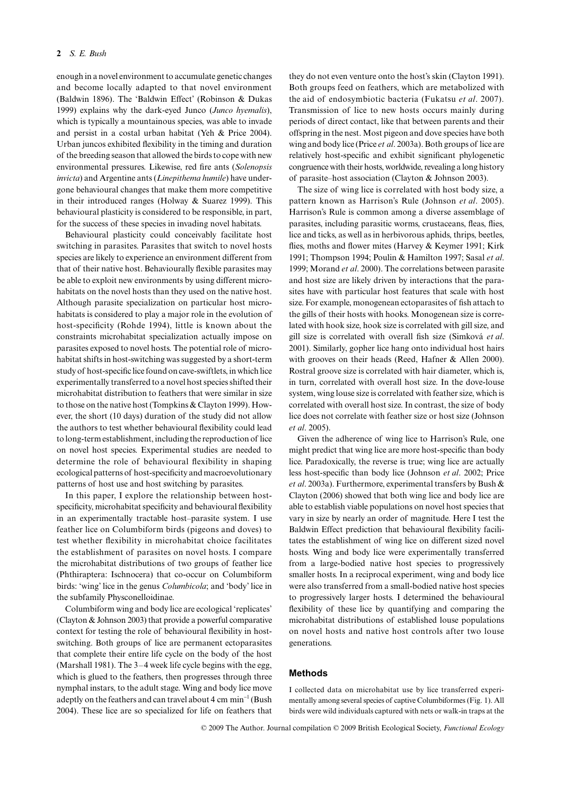enough in a novel environment to accumulate genetic changes and become locally adapted to that novel environment (Baldwin 1896). The 'Baldwin Effect' (Robinson & Dukas 1999) explains why the dark-eyed Junco (*Junco hyemalis*), which is typically a mountainous species, was able to invade and persist in a costal urban habitat (Yeh & Price 2004). Urban juncos exhibited flexibility in the timing and duration of the breeding season that allowed the birds to cope with new environmental pressures. Likewise, red fire ants (*Solenopsis invicta*) and Argentine ants (*Linepithema humile*) have undergone behavioural changes that make them more competitive in their introduced ranges (Holway & Suarez 1999). This behavioural plasticity is considered to be responsible, in part, for the success of these species in invading novel habitats.

Behavioural plasticity could conceivably facilitate host switching in parasites. Parasites that switch to novel hosts species are likely to experience an environment different from that of their native host. Behaviourally flexible parasites may be able to exploit new environments by using different microhabitats on the novel hosts than they used on the native host. Although parasite specialization on particular host microhabitats is considered to play a major role in the evolution of host-specificity (Rohde 1994), little is known about the constraints microhabitat specialization actually impose on parasites exposed to novel hosts. The potential role of microhabitat shifts in host-switching was suggested by a short-term study of host-specific lice found on cave-swiftlets, in which lice experimentally transferred to a novel host species shifted their microhabitat distribution to feathers that were similar in size to those on the native host (Tompkins & Clayton 1999). However, the short (10 days) duration of the study did not allow the authors to test whether behavioural flexibility could lead to long-term establishment, including the reproduction of lice on novel host species. Experimental studies are needed to determine the role of behavioural flexibility in shaping ecological patterns of host-specificity and macroevolutionary patterns of host use and host switching by parasites.

In this paper, I explore the relationship between hostspecificity, microhabitat specificity and behavioural flexibility in an experimentally tractable host–parasite system. I use feather lice on Columbiform birds (pigeons and doves) to test whether flexibility in microhabitat choice facilitates the establishment of parasites on novel hosts. I compare the microhabitat distributions of two groups of feather lice (Phthiraptera: Ischnocera) that co-occur on Columbiform birds: 'wing' lice in the genus *Columbicola*; and 'body' lice in the subfamily Physconelloidinae.

Columbiform wing and body lice are ecological 'replicates' (Clayton & Johnson 2003) that provide a powerful comparative context for testing the role of behavioural flexibility in hostswitching. Both groups of lice are permanent ectoparasites that complete their entire life cycle on the body of the host (Marshall 1981). The 3–4 week life cycle begins with the egg, which is glued to the feathers, then progresses through three nymphal instars, to the adult stage. Wing and body lice move adeptly on the feathers and can travel about 4 cm min<sup>-1</sup> (Bush 2004). These lice are so specialized for life on feathers that

they do not even venture onto the host's skin (Clayton 1991). Both groups feed on feathers, which are metabolized with the aid of endosymbiotic bacteria (Fukatsu *et al*. 2007). Transmission of lice to new hosts occurs mainly during periods of direct contact, like that between parents and their offspring in the nest. Most pigeon and dove species have both wing and body lice (Price *et al*. 2003a). Both groups of lice are relatively host-specific and exhibit significant phylogenetic congruence with their hosts, worldwide, revealing a long history of parasite–host association (Clayton & Johnson 2003).

The size of wing lice is correlated with host body size, a pattern known as Harrison's Rule (Johnson *et al*. 2005). Harrison's Rule is common among a diverse assemblage of parasites, including parasitic worms, crustaceans, fleas, flies, lice and ticks, as well as in herbivorous aphids, thrips, beetles, flies, moths and flower mites (Harvey & Keymer 1991; Kirk 1991; Thompson 1994; Poulin & Hamilton 1997; Sasal *et al*. 1999; Morand *et al*. 2000). The correlations between parasite and host size are likely driven by interactions that the parasites have with particular host features that scale with host size. For example, monogenean ectoparasites of fish attach to the gills of their hosts with hooks. Monogenean size is correlated with hook size, hook size is correlated with gill size, and gill size is correlated with overall fish size (Simková *et al*. 2001). Similarly, gopher lice hang onto individual host hairs with grooves on their heads (Reed, Hafner & Allen 2000). Rostral groove size is correlated with hair diameter, which is, in turn, correlated with overall host size. In the dove-louse system, wing louse size is correlated with feather size, which is correlated with overall host size. In contrast, the size of body lice does not correlate with feather size or host size (Johnson *et al*. 2005).

Given the adherence of wing lice to Harrison's Rule, one might predict that wing lice are more host-specific than body lice. Paradoxically, the reverse is true; wing lice are actually less host-specific than body lice (Johnson *et al*. 2002; Price *et al*. 2003a). Furthermore, experimental transfers by Bush & Clayton (2006) showed that both wing lice and body lice are able to establish viable populations on novel host species that vary in size by nearly an order of magnitude. Here I test the Baldwin Effect prediction that behavioural flexibility facilitates the establishment of wing lice on different sized novel hosts. Wing and body lice were experimentally transferred from a large-bodied native host species to progressively smaller hosts. In a reciprocal experiment, wing and body lice were also transferred from a small-bodied native host species to progressively larger hosts. I determined the behavioural flexibility of these lice by quantifying and comparing the microhabitat distributions of established louse populations on novel hosts and native host controls after two louse generations.

## **Methods**

I collected data on microhabitat use by lice transferred experimentally among several species of captive Columbiformes (Fig. 1). All birds were wild individuals captured with nets or walk-in traps at the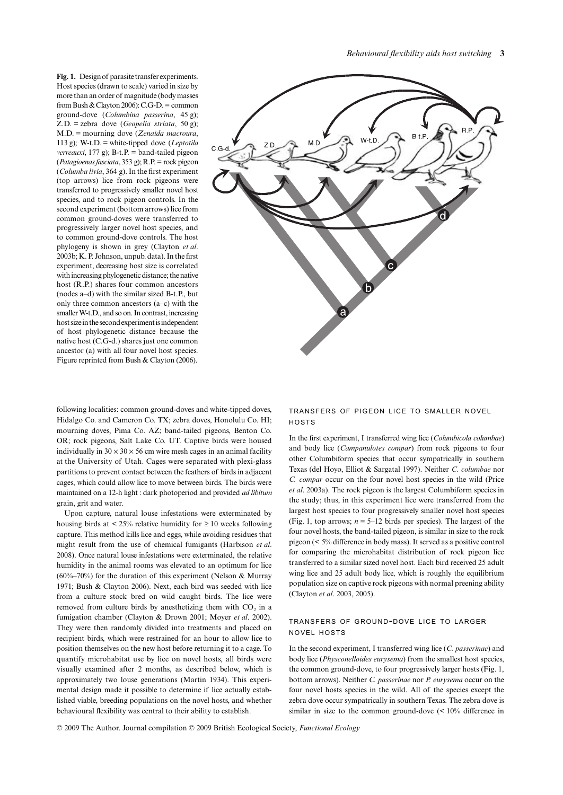**Fig. 1.** Design of parasite transfer experiments. Host species (drawn to scale) varied in size by more than an order of magnitude (body masses from Bush & Clayton 2006): C.G-D. = common ground-dove (*Columbina passerina*, 45 g); Z.D. = zebra dove (*Geopelia striata*, 50 g); M.D. = mourning dove (*Zenaida macroura*, 113 g); W-t.D. = white-tipped dove (*Leptotila verreauxi*,  $177$  g); B-t.P. = band-tailed pigeon (*Patagioenas fasciata*, 353 g); R.P. = rock pigeon (*Columba livia*, 364 g). In the first experiment (top arrows) lice from rock pigeons were transferred to progressively smaller novel host species, and to rock pigeon controls. In the second experiment (bottom arrows) lice from common ground-doves were transferred to progressively larger novel host species, and to common ground-dove controls. The host phylogeny is shown in grey (Clayton *et al*. 2003b; K. P. Johnson, unpub. data). In the first experiment, decreasing host size is correlated with increasing phylogenetic distance; the native host (R.P.) shares four common ancestors (nodes a–d) with the similar sized B-t.P., but only three common ancestors (a–c) with the smaller W-t.D., and so on. In contrast, increasing host size in the second experiment is independent of host phylogenetic distance because the native host (C.G-d.) shares just one common ancestor (a) with all four novel host species. Figure reprinted from Bush & Clayton (2006).



following localities: common ground-doves and white-tipped doves, Hidalgo Co. and Cameron Co. TX; zebra doves, Honolulu Co. HI; mourning doves, Pima Co. AZ; band-tailed pigeons, Benton Co. OR; rock pigeons, Salt Lake Co. UT. Captive birds were housed individually in  $30 \times 30 \times 56$  cm wire mesh cages in an animal facility at the University of Utah. Cages were separated with plexi-glass partitions to prevent contact between the feathers of birds in adjacent cages, which could allow lice to move between birds. The birds were maintained on a 12-h light : dark photoperiod and provided *ad libitum* grain, grit and water.

Upon capture, natural louse infestations were exterminated by housing birds at <  $25\%$  relative humidity for  $\geq 10$  weeks following capture. This method kills lice and eggs, while avoiding residues that might result from the use of chemical fumigants (Harbison *et al*. 2008). Once natural louse infestations were exterminated, the relative humidity in the animal rooms was elevated to an optimum for lice (60%–70%) for the duration of this experiment (Nelson & Murray 1971; Bush & Clayton 2006). Next, each bird was seeded with lice from a culture stock bred on wild caught birds. The lice were removed from culture birds by anesthetizing them with  $CO<sub>2</sub>$  in a fumigation chamber (Clayton & Drown 2001; Moyer *et al*. 2002). They were then randomly divided into treatments and placed on recipient birds, which were restrained for an hour to allow lice to position themselves on the new host before returning it to a cage. To quantify microhabitat use by lice on novel hosts, all birds were visually examined after 2 months, as described below, which is approximately two louse generations (Martin 1934). This experimental design made it possible to determine if lice actually established viable, breeding populations on the novel hosts, and whether behavioural flexibility was central to their ability to establish.

#### TRANSFERS OF PIGEON LICE TO SMALLER NOVEL **HOSTS**

In the first experiment, I transferred wing lice (*Columbicola columbae*) and body lice (*Campanulotes compar*) from rock pigeons to four other Columbiform species that occur sympatrically in southern Texas (del Hoyo, Elliot & Sargatal 1997). Neither *C. columbae* nor *C. compar* occur on the four novel host species in the wild (Price *et al*. 2003a). The rock pigeon is the largest Columbiform species in the study; thus, in this experiment lice were transferred from the largest host species to four progressively smaller novel host species (Fig. 1, top arrows;  $n = 5-12$  birds per species). The largest of the four novel hosts, the band-tailed pigeon, is similar in size to the rock pigeon (< 5% difference in body mass). It served as a positive control for comparing the microhabitat distribution of rock pigeon lice transferred to a similar sized novel host. Each bird received 25 adult wing lice and 25 adult body lice, which is roughly the equilibrium population size on captive rock pigeons with normal preening ability (Clayton *et al*. 2003, 2005).

## TRANSFERS OF GROUND-DOVE LICE TO LARGER NOVEL HOSTS

In the second experiment, I transferred wing lice (*C. passerinae*) and body lice (*Physconelloides eurysema*) from the smallest host species, the common ground-dove, to four progressively larger hosts (Fig. 1, bottom arrows). Neither *C. passerinae* nor *P. eurysema* occur on the four novel hosts species in the wild. All of the species except the zebra dove occur sympatrically in southern Texas. The zebra dove is similar in size to the common ground-dove (< 10% difference in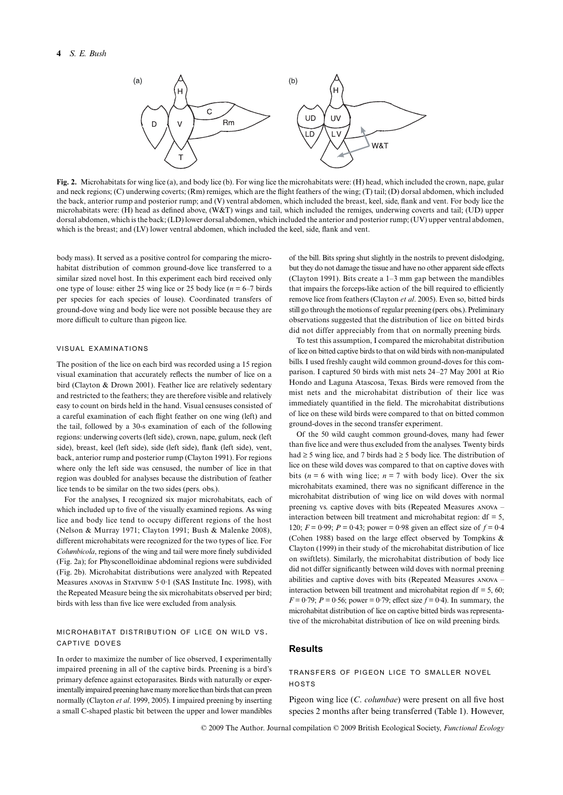

**Fig. 2.** Microhabitats for wing lice (a), and body lice (b). For wing lice the microhabitats were: (H) head, which included the crown, nape, gular and neck regions; (C) underwing coverts; (Rm) remiges, which are the flight feathers of the wing; (T) tail; (D) dorsal abdomen, which included the back, anterior rump and posterior rump; and (V) ventral abdomen, which included the breast, keel, side, flank and vent. For body lice the microhabitats were: (H) head as defined above, (W&T) wings and tail, which included the remiges, underwing coverts and tail; (UD) upper dorsal abdomen, which is the back; (LD) lower dorsal abdomen, which included the anterior and posterior rump; (UV) upper ventral abdomen, which is the breast; and (LV) lower ventral abdomen, which included the keel, side, flank and vent.

body mass). It served as a positive control for comparing the microhabitat distribution of common ground-dove lice transferred to a similar sized novel host. In this experiment each bird received only one type of louse: either 25 wing lice or 25 body lice  $(n = 6-7)$  birds per species for each species of louse). Coordinated transfers of ground-dove wing and body lice were not possible because they are more difficult to culture than pigeon lice.

#### VISUAL EXAMINATIONS

The position of the lice on each bird was recorded using a 15 region visual examination that accurately reflects the number of lice on a bird (Clayton & Drown 2001). Feather lice are relatively sedentary and restricted to the feathers; they are therefore visible and relatively easy to count on birds held in the hand. Visual censuses consisted of a careful examination of each flight feather on one wing (left) and the tail, followed by a 30-s examination of each of the following regions: underwing coverts (left side), crown, nape, gulum, neck (left side), breast, keel (left side), side (left side), flank (left side), vent, back, anterior rump and posterior rump (Clayton 1991). For regions where only the left side was censused, the number of lice in that region was doubled for analyses because the distribution of feather lice tends to be similar on the two sides (pers. obs.).

For the analyses, I recognized six major microhabitats, each of which included up to five of the visually examined regions. As wing lice and body lice tend to occupy different regions of the host (Nelson & Murray 1971; Clayton 1991; Bush & Malenke 2008), different microhabitats were recognized for the two types of lice. For *Columbicola*, regions of the wing and tail were more finely subdivided (Fig. 2a); for Physconelloidinae abdominal regions were subdivided (Fig. 2b). Microhabitat distributions were analyzed with Repeated Measures anovas in Statview 5.0.1 (SAS Institute Inc. 1998), with the Repeated Measure being the six microhabitats observed per bird; birds with less than five lice were excluded from analysis.

#### MICROHABITAT DISTRIBUTION OF LICE ON WILD VS. CAPTIVE DOVES

In order to maximize the number of lice observed, I experimentally impaired preening in all of the captive birds. Preening is a bird's primary defence against ectoparasites. Birds with naturally or experimentally impaired preening have many more lice than birds that can preen normally (Clayton *et al*. 1999, 2005). I impaired preening by inserting a small C-shaped plastic bit between the upper and lower mandibles

of the bill. Bits spring shut slightly in the nostrils to prevent dislodging, but they do not damage the tissue and have no other apparent side effects (Clayton 1991). Bits create a 1–3 mm gap between the mandibles that impairs the forceps-like action of the bill required to efficiently remove lice from feathers (Clayton *et al*. 2005). Even so, bitted birds still go through the motions of regular preening (pers. obs.). Preliminary observations suggested that the distribution of lice on bitted birds did not differ appreciably from that on normally preening birds.

To test this assumption, I compared the microhabitat distribution of lice on bitted captive birds to that on wild birds with non-manipulated bills. I used freshly caught wild common ground-doves for this comparison. I captured 50 birds with mist nets 24–27 May 2001 at Rio Hondo and Laguna Atascosa, Texas. Birds were removed from the mist nets and the microhabitat distribution of their lice was immediately quantified in the field. The microhabitat distributions of lice on these wild birds were compared to that on bitted common ground-doves in the second transfer experiment.

Of the 50 wild caught common ground-doves, many had fewer than five lice and were thus excluded from the analyses. Twenty birds had ≥ 5 wing lice, and 7 birds had ≥ 5 body lice. The distribution of lice on these wild doves was compared to that on captive doves with bits ( $n = 6$  with wing lice;  $n = 7$  with body lice). Over the six microhabitats examined, there was no significant difference in the microhabitat distribution of wing lice on wild doves with normal preening vs. captive doves with bits (Repeated Measures anova – interaction between bill treatment and microhabitat region:  $df = 5$ , 120;  $F = 0.99$ ;  $P = 0.43$ ; power = 0.98 given an effect size of  $f = 0.4$ (Cohen 1988) based on the large effect observed by Tompkins & Clayton (1999) in their study of the microhabitat distribution of lice on swiftlets). Similarly, the microhabitat distribution of body lice did not differ significantly between wild doves with normal preening abilities and captive doves with bits (Repeated Measures anova – interaction between bill treatment and microhabitat region df  $=$  5, 60; *F* = 0.79; *P* = 0.56; power = 0.79; effect size  $f$  = 0.4). In summary, the microhabitat distribution of lice on captive bitted birds was representative of the microhabitat distribution of lice on wild preening birds.

#### **Results**

#### TRANSFERS OF PIGEON LICE TO SMALLER NOVEL HOSTS

Pigeon wing lice (*C*. *columbae*) were present on all five host species 2 months after being transferred (Table 1). However,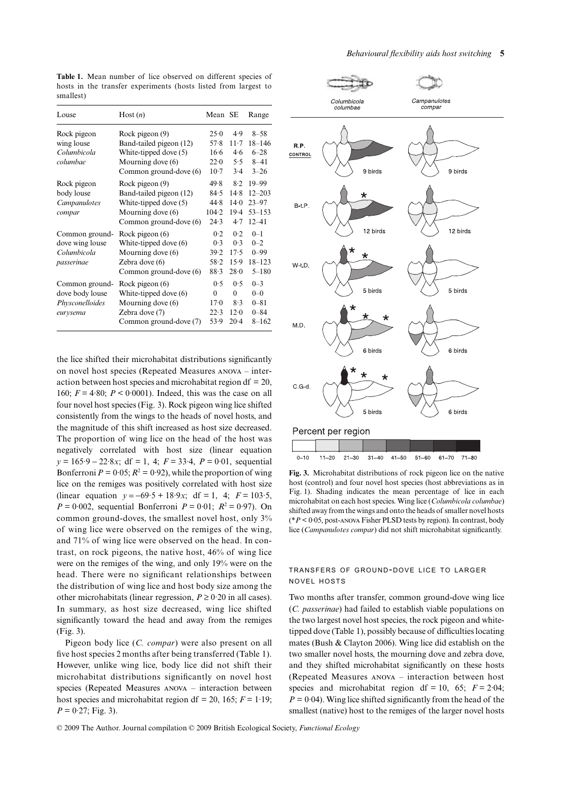| Louse                                                            | Host(n)                                                                                                            | Mean SE                                     |                                          | Range                                                           |
|------------------------------------------------------------------|--------------------------------------------------------------------------------------------------------------------|---------------------------------------------|------------------------------------------|-----------------------------------------------------------------|
| Rock pigeon<br>wing louse<br>Columbicola<br>columbae             | Rock pigeon (9)<br>Band-tailed pigeon (12)<br>White-tipped dove (5)<br>Mourning dove (6)<br>Common ground-dove (6) | 25.0<br>57.8<br>16.6<br>22.0<br>$10-7$      | 4.9<br>$11-7$<br>4.6<br>5.5<br>3.4       | $8 - 58$<br>$18 - 146$<br>$6 - 28$<br>$8 - 41$<br>$3 - 26$      |
| Rock pigeon<br>body louse<br>Campanulotes<br>compar              | Rock pigeon (9)<br>Band-tailed pigeon (12)<br>White-tipped dove (5)<br>Mourning dove (6)<br>Common ground-dove (6) | 49.8<br>84.5<br>44.8<br>104.2<br>24.3       | 8.2<br>14.8<br>14.0<br>$19-4$<br>4.7     | $19 - 99$<br>$12 - 203$<br>$23 - 97$<br>$53 - 153$<br>$12 - 41$ |
| Common ground-<br>dove wing louse<br>Columbicola<br>passerinae   | Rock pigeon (6)<br>White-tipped dove (6)<br>Mourning dove (6)<br>Zebra dove $(6)$<br>Common ground-dove (6)        | 0.2<br>0.3<br>39.2<br>58.2<br>88.3          | 0.2<br>0.3<br>17.5<br>15.9<br>28.0       | $0 - 1$<br>$0 - 2$<br>$0 - 99$<br>$18 - 123$<br>$5 - 180$       |
| Common ground-<br>dove body louse<br>Physconelloides<br>eurysema | Rock pigeon (6)<br>White-tipped dove (6)<br>Mourning dove (6)<br>Zebra dove (7)<br>Common ground-dove (7)          | 0.5<br>$\Omega$<br>$17 - 0$<br>22.3<br>53.9 | 0.5<br>$\Omega$<br>8.3<br>12.0<br>$20-4$ | $0 - 3$<br>$0 - 0$<br>$0 - 81$<br>$0 - 84$<br>$8 - 162$         |

**Table 1.** Mean number of lice observed on different species of hosts in the transfer experiments (hosts listed from largest to smallest)

the lice shifted their microhabitat distributions significantly on novel host species (Repeated Measures anova – interaction between host species and microhabitat region df  $= 20$ , 160;  $F = 4.80$ ;  $P < 0.0001$ ). Indeed, this was the case on all four novel host species (Fig. 3). Rock pigeon wing lice shifted consistently from the wings to the heads of novel hosts, and the magnitude of this shift increased as host size decreased. The proportion of wing lice on the head of the host was negatively correlated with host size (linear equation *y* = 165⋅9 – 22⋅8*x*; df = 1, 4; *F* = 33⋅4, *P* = 0⋅01, sequential Bonferroni  $P = 0.05$ ;  $R^2 = 0.92$ ), while the proportion of wing lice on the remiges was positively correlated with host size (linear equation *y* = −69·5 + 18·9*x*; df = 1, 4; *F =* 103·5, *P* = 0.002, sequential Bonferroni *P* = 0.01;  $R^2 = 0.97$ ). On common ground-doves, the smallest novel host, only 3% of wing lice were observed on the remiges of the wing, and 71% of wing lice were observed on the head. In contrast, on rock pigeons, the native host, 46% of wing lice were on the remiges of the wing, and only 19% were on the head. There were no significant relationships between the distribution of wing lice and host body size among the other microhabitats (linear regression,  $P \ge 0.20$  in all cases). In summary, as host size decreased, wing lice shifted significantly toward the head and away from the remiges (Fig. 3).

Pigeon body lice (*C. compar*) were also present on all five host species 2 months after being transferred (Table 1). However, unlike wing lice, body lice did not shift their microhabitat distributions significantly on novel host species (Repeated Measures anova – interaction between host species and microhabitat region df = 20, 165;  $F = 1.19$ ;  $P = 0.27$ ; Fig. 3).



**Fig. 3.** Microhabitat distributions of rock pigeon lice on the native host (control) and four novel host species (host abbreviations as in Fig. 1). Shading indicates the mean percentage of lice in each microhabitat on each host species. Wing lice (*Columbicola columbae*) shifted away from the wings and onto the heads of smaller novel hosts (\**P* < 0·05, post-anova Fisher PLSD tests by region). In contrast, body lice (*Campanulotes compar*) did not shift microhabitat significantly.

#### TRANSFERS OF GROUND-DOVE LICE TO LARGER NOVEL HOSTS

Two months after transfer, common ground-dove wing lice (*C. passerinae*) had failed to establish viable populations on the two largest novel host species, the rock pigeon and whitetipped dove (Table 1), possibly because of difficulties locating mates (Bush & Clayton 2006). Wing lice did establish on the two smaller novel hosts, the mourning dove and zebra dove, and they shifted microhabitat significantly on these hosts (Repeated Measures anova – interaction between host species and microhabitat region df = 10, 65;  $F = 2.04$ ;  $P = 0.04$ ). Wing lice shifted significantly from the head of the smallest (native) host to the remiges of the larger novel hosts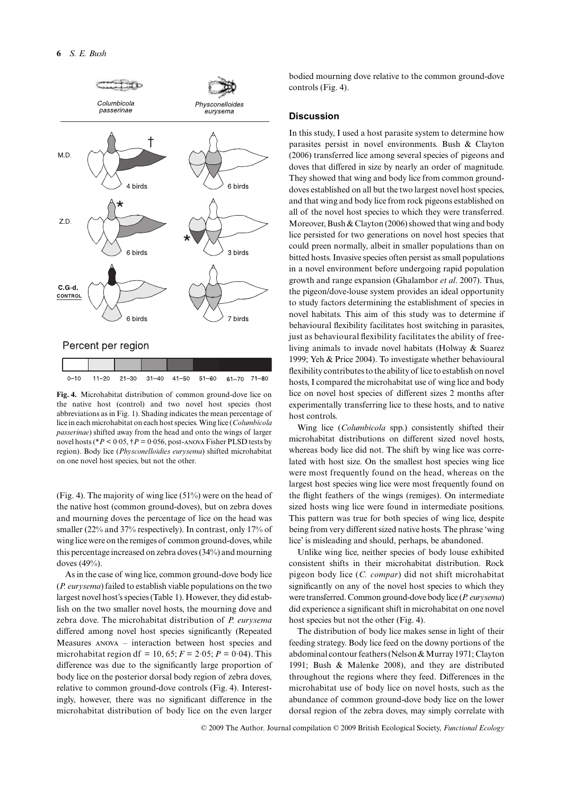

the native host (control) and two novel host species (host abbreviations as in Fig. 1). Shading indicates the mean percentage of lice in each microhabitat on each host species. Wing lice (*Columbicola passerinae*) shifted away from the head and onto the wings of larger novel hosts (\**P* < 0·05, †*P =* 0·056, post-anova Fisher PLSD tests by region). Body lice (*Physconelloidies eurysema*) shifted microhabitat on one novel host species, but not the other.

(Fig. 4). The majority of wing lice (51%) were on the head of the native host (common ground-doves), but on zebra doves and mourning doves the percentage of lice on the head was smaller (22% and 37% respectively). In contrast, only 17% of wing lice were on the remiges of common ground-doves, while this percentage increased on zebra doves (34%) and mourning doves (49%).

As in the case of wing lice, common ground-dove body lice (*P. eurysema*) failed to establish viable populations on the two largest novel host's species (Table 1). However, they did establish on the two smaller novel hosts, the mourning dove and zebra dove. The microhabitat distribution of *P. eurysema* differed among novel host species significantly (Repeated Measures anova – interaction between host species and microhabitat region df = 10, 65;  $F = 2.05$ ;  $P = 0.04$ ). This difference was due to the significantly large proportion of body lice on the posterior dorsal body region of zebra doves, relative to common ground-dove controls (Fig. 4). Interestingly, however, there was no significant difference in the microhabitat distribution of body lice on the even larger

bodied mourning dove relative to the common ground-dove controls (Fig. 4).

#### **Discussion**

In this study, I used a host parasite system to determine how parasites persist in novel environments. Bush & Clayton (2006) transferred lice among several species of pigeons and doves that differed in size by nearly an order of magnitude. They showed that wing and body lice from common grounddoves established on all but the two largest novel host species, and that wing and body lice from rock pigeons established on all of the novel host species to which they were transferred. Moreover, Bush & Clayton (2006) showed that wing and body lice persisted for two generations on novel host species that could preen normally, albeit in smaller populations than on bitted hosts. Invasive species often persist as small populations in a novel environment before undergoing rapid population growth and range expansion (Ghalambor *et al*. 2007). Thus, the pigeon/dove-louse system provides an ideal opportunity to study factors determining the establishment of species in novel habitats. This aim of this study was to determine if behavioural flexibility facilitates host switching in parasites, just as behavioural flexibility facilitates the ability of freeliving animals to invade novel habitats (Holway & Suarez 1999; Yeh & Price 2004). To investigate whether behavioural flexibility contributes to the ability of lice to establish on novel hosts, I compared the microhabitat use of wing lice and body lice on novel host species of different sizes 2 months after experimentally transferring lice to these hosts, and to native host controls.

Wing lice (*Columbicola* spp.) consistently shifted their microhabitat distributions on different sized novel hosts, whereas body lice did not. The shift by wing lice was correlated with host size. On the smallest host species wing lice were most frequently found on the head, whereas on the largest host species wing lice were most frequently found on the flight feathers of the wings (remiges). On intermediate sized hosts wing lice were found in intermediate positions. This pattern was true for both species of wing lice, despite being from very different sized native hosts. The phrase 'wing lice' is misleading and should, perhaps, be abandoned.

Unlike wing lice, neither species of body louse exhibited consistent shifts in their microhabitat distribution. Rock pigeon body lice (*C. compar*) did not shift microhabitat significantly on any of the novel host species to which they were transferred. Common ground-dove body lice (*P. eurysema*) did experience a significant shift in microhabitat on one novel host species but not the other (Fig. 4).

The distribution of body lice makes sense in light of their feeding strategy. Body lice feed on the downy portions of the abdominal contour feathers (Nelson & Murray 1971; Clayton 1991; Bush & Malenke 2008), and they are distributed throughout the regions where they feed. Differences in the microhabitat use of body lice on novel hosts, such as the abundance of common ground-dove body lice on the lower dorsal region of the zebra doves, may simply correlate with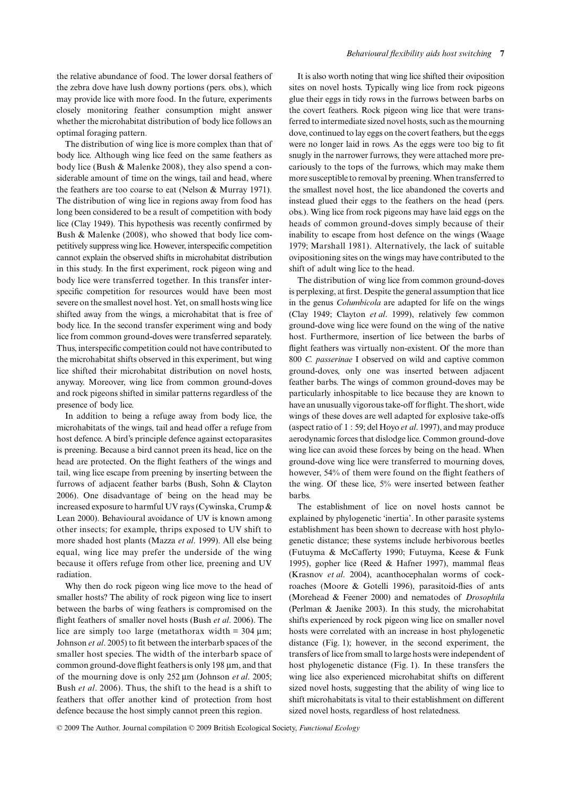the relative abundance of food. The lower dorsal feathers of the zebra dove have lush downy portions (pers. obs.), which may provide lice with more food. In the future, experiments closely monitoring feather consumption might answer whether the microhabitat distribution of body lice follows an optimal foraging pattern.

The distribution of wing lice is more complex than that of body lice. Although wing lice feed on the same feathers as body lice (Bush & Malenke 2008), they also spend a considerable amount of time on the wings, tail and head, where the feathers are too coarse to eat (Nelson & Murray 1971). The distribution of wing lice in regions away from food has long been considered to be a result of competition with body lice (Clay 1949). This hypothesis was recently confirmed by Bush & Malenke (2008), who showed that body lice competitively suppress wing lice. However, interspecific competition cannot explain the observed shifts in microhabitat distribution in this study. In the first experiment, rock pigeon wing and body lice were transferred together. In this transfer interspecific competition for resources would have been most severe on the smallest novel host. Yet, on small hosts wing lice shifted away from the wings, a microhabitat that is free of body lice. In the second transfer experiment wing and body lice from common ground-doves were transferred separately. Thus, interspecific competition could not have contributed to the microhabitat shifts observed in this experiment, but wing lice shifted their microhabitat distribution on novel hosts, anyway. Moreover, wing lice from common ground-doves and rock pigeons shifted in similar patterns regardless of the presence of body lice.

In addition to being a refuge away from body lice, the microhabitats of the wings, tail and head offer a refuge from host defence. A bird's principle defence against ectoparasites is preening. Because a bird cannot preen its head, lice on the head are protected. On the flight feathers of the wings and tail, wing lice escape from preening by inserting between the furrows of adjacent feather barbs (Bush, Sohn & Clayton 2006). One disadvantage of being on the head may be increased exposure to harmful UV rays (Cywinska, Crump & Lean 2000). Behavioural avoidance of UV is known among other insects; for example, thrips exposed to UV shift to more shaded host plants (Mazza *et al*. 1999). All else being equal, wing lice may prefer the underside of the wing because it offers refuge from other lice, preening and UV radiation.

Why then do rock pigeon wing lice move to the head of smaller hosts? The ability of rock pigeon wing lice to insert between the barbs of wing feathers is compromised on the flight feathers of smaller novel hosts (Bush *et al*. 2006). The lice are simply too large (metathorax width  $= 304 \text{ µm}$ ; Johnson *et al*. 2005) to fit between the interbarb spaces of the smaller host species. The width of the interbarb space of common ground-dove flight feathers is only 198 μm, and that of the mourning dove is only 252 μm (Johnson *et al*. 2005; Bush *et al*. 2006). Thus, the shift to the head is a shift to feathers that offer another kind of protection from host defence because the host simply cannot preen this region.

It is also worth noting that wing lice shifted their oviposition sites on novel hosts. Typically wing lice from rock pigeons glue their eggs in tidy rows in the furrows between barbs on the covert feathers. Rock pigeon wing lice that were transferred to intermediate sized novel hosts, such as the mourning dove, continued to lay eggs on the covert feathers, but the eggs were no longer laid in rows. As the eggs were too big to fit snugly in the narrower furrows, they were attached more precariously to the tops of the furrows, which may make them more susceptible to removal by preening. When transferred to the smallest novel host, the lice abandoned the coverts and instead glued their eggs to the feathers on the head (pers. obs.). Wing lice from rock pigeons may have laid eggs on the heads of common ground-doves simply because of their inability to escape from host defence on the wings (Waage 1979; Marshall 1981). Alternatively, the lack of suitable ovipositioning sites on the wings may have contributed to the shift of adult wing lice to the head.

The distribution of wing lice from common ground-doves is perplexing, at first. Despite the general assumption that lice in the genus *Columbicola* are adapted for life on the wings (Clay 1949; Clayton *et al*. 1999), relatively few common ground-dove wing lice were found on the wing of the native host. Furthermore, insertion of lice between the barbs of flight feathers was virtually non-existent. Of the more than 800 *C. passerinae* I observed on wild and captive common ground-doves, only one was inserted between adjacent feather barbs. The wings of common ground-doves may be particularly inhospitable to lice because they are known to have an unusually vigorous take-off for flight. The short, wide wings of these doves are well adapted for explosive take-offs (aspect ratio of 1 : 59; del Hoyo *et al*. 1997), and may produce aerodynamic forces that dislodge lice. Common ground-dove wing lice can avoid these forces by being on the head. When ground-dove wing lice were transferred to mourning doves, however, 54% of them were found on the flight feathers of the wing. Of these lice, 5% were inserted between feather barbs.

The establishment of lice on novel hosts cannot be explained by phylogenetic 'inertia'. In other parasite systems establishment has been shown to decrease with host phylogenetic distance; these systems include herbivorous beetles (Futuyma & McCafferty 1990; Futuyma, Keese & Funk 1995), gopher lice (Reed & Hafner 1997), mammal fleas (Krasnov *et al*. 2004), acanthocephalan worms of cockroaches (Moore & Gotelli 1996), parasitoid-flies of ants (Morehead & Feener 2000) and nematodes of *Drosophila* (Perlman & Jaenike 2003). In this study, the microhabitat shifts experienced by rock pigeon wing lice on smaller novel hosts were correlated with an increase in host phylogenetic distance (Fig. 1); however, in the second experiment, the transfers of lice from small to large hosts were independent of host phylogenetic distance (Fig. 1). In these transfers the wing lice also experienced microhabitat shifts on different sized novel hosts, suggesting that the ability of wing lice to shift microhabitats is vital to their establishment on different sized novel hosts, regardless of host relatedness.

© 2009 The Author. Journal compilation © 2009 British Ecological Society, *Functional Ecology*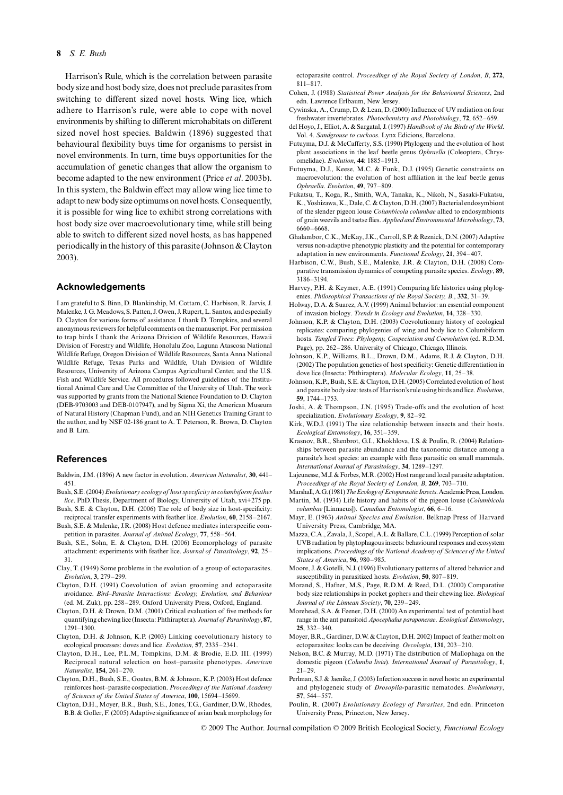#### **8** *S. E. Bush*

Harrison's Rule, which is the correlation between parasite body size and host body size, does not preclude parasites from switching to different sized novel hosts. Wing lice, which adhere to Harrison's rule, were able to cope with novel environments by shifting to different microhabitats on different sized novel host species. Baldwin (1896) suggested that behavioural flexibility buys time for organisms to persist in novel environments. In turn, time buys opportunities for the accumulation of genetic changes that allow the organism to become adapted to the new environment (Price *et al*. 2003b). In this system, the Baldwin effect may allow wing lice time to adapt to new body size optimums on novel hosts. Consequently, it is possible for wing lice to exhibit strong correlations with host body size over macroevolutionary time, while still being able to switch to different sized novel hosts, as has happened periodically in the history of this parasite (Johnson & Clayton 2003).

#### **Acknowledgements**

I am grateful to S. Binn, D. Blankinship, M. Cottam, C. Harbison, R. Jarvis, J. Malenke, J. G. Meadows, S. Patten, J. Owen, J. Rupert, L. Santos, and especially D. Clayton for various forms of assistance. I thank D. Tompkins, and several anonymous reviewers for helpful comments on the manuscript. For permission to trap birds I thank the Arizona Division of Wildlife Resources, Hawaii Division of Forestry and Wildlife, Honolulu Zoo, Laguna Atascosa National Wildlife Refuge, Oregon Division of Wildlife Resources, Santa Anna National Wildlife Refuge, Texas Parks and Wildlife, Utah Division of Wildlife Resources, University of Arizona Campus Agricultural Center, and the U.S. Fish and Wildlife Service. All procedures followed guidelines of the Institutional Animal Care and Use Committee of the University of Utah. The work was supported by grants from the National Science Foundation to D. Clayton (DEB-9703003 and DEB-0107947), and by Sigma Xi, the American Museum of Natural History (Chapman Fund), and an NIH Genetics Training Grant to the author, and by NSF 02-186 grant to A. T. Peterson, R. Brown, D. Clayton and B. Lim.

#### **References**

Baldwin, J.M. (1896) A new factor in evolution. *American Naturalist*, **30**, 441– 451.

- Bush, S.E. (2004) *Evolutionary ecology of host specificity in columbiform feather lice*. PhD.Thesis, Department of Biology, University of Utah, xvi+275 pp.
- Bush, S.E. & Clayton, D.H. (2006) The role of body size in host-specificity: reciprocal transfer experiments with feather lice. *Evolution*, **60**, 2158–2167.
- Bush, S.E. & Malenke, J.R. (2008) Host defence mediates interspecific competition in parasites. *Journal of Animal Ecology*, **77**, 558–564.
- Bush, S.E., Sohn, E. & Clayton, D.H. (2006) Ecomorphology of parasite attachment: experiments with feather lice. *Journal of Parasitology*, **92**, 25– 31.
- Clay, T. (1949) Some problems in the evolution of a group of ectoparasites. *Evolution*, **3**, 279–299.
- Clayton, D.H. (1991) Coevolution of avian grooming and ectoparasite avoidance. *Bird–Parasite Interactions: Ecology, Evolution, and Behaviour* (ed. M. Zuk), pp. 258–289. Oxford University Press, Oxford, England.
- Clayton, D.H. & Drown, D.M. (2001) Critical evaluation of five methods for quantifying chewing lice (Insecta: Phthiraptera). *Journal of Parasitology*, **87**, 1291–1300.
- Clayton, D.H. & Johnson, K.P. (2003) Linking coevolutionary history to ecological processes: doves and lice. *Evolution*, **57**, 2335–2341.
- Clayton, D.H., Lee, P.L.M, Tompkins, D.M. & Brodie, E.D. III. (1999) Reciprocal natural selection on host–parasite phenotypes. *American Naturalist*, **154**, 261–270.
- Clayton, D.H., Bush, S.E., Goates, B.M. & Johnson, K.P. (2003) Host defence reinforces host–parasite cospeciation. *Proceedings of the National Academy of Sciences of the United States of America*, **100**, 15694–15699.
- Clayton, D.H., Moyer, B.R., Bush, S.E., Jones, T.G., Gardiner, D.W., Rhodes, B.B. & Goller, F. (2005) Adaptive significance of avian beak morphology for

ectoparasite control. *Proceedings of the Royal Society of London*, *B*, **272**, 811–817.

- Cohen, J. (1988) *Statistical Power Analysis for the Behavioural Sciences*, 2nd edn. Lawrence Erlbaum, New Jersey.
- Cywinska, A., Crump, D. & Lean, D. (2000) Influence of UV radiation on four freshwater invertebrates. *Photochemistry and Photobiology*, **72**, 652–659.
- del Hoyo, J., Elliot, A. & Sargatal, J. (1997) *Handbook of the Birds of the World*. Vol. 4. *Sandgrouse to cuckoos*. Lynx Edicions, Barcelona.
- Futuyma, D.J. & McCafferty, S.S. (1990) Phylogeny and the evolution of host plant associations in the leaf beetle genus *Ophraella* (Coleoptera, Chrysomelidae). *Evolution*, **44**: 1885–1913.
- Futuyma, D.J., Keese, M.C. & Funk, D.J. (1995) Genetic constraints on macroevolution: the evolution of host affiliation in the leaf beetle genus *Ophraella*. *Evolution*, **49**, 797–809.
- Fukatsu, T., Koga, R., Smith, W.A, Tanaka, K., Nikoh, N., Sasaki-Fukatsu, K., Yoshizawa, K., Dale, C. & Clayton, D.H. (2007) Bacterial endosymbiont of the slender pigeon louse *Columbicola columbae* allied to endosymbionts of grain weevils and tsetse flies. *Applied and Environmental Microbiology*, **73**, 6660–6668.
- Ghalambor, C.K., McKay, J.K., Carroll, S.P. & Reznick, D.N. (2007) Adaptive versus non-adaptive phenotypic plasticity and the potential for contemporary adaptation in new environments. *Functional Ecology*, **21**, 394–407.
- Harbison, C.W., Bush, S.E., Malenke, J.R. & Clayton, D.H. (2008) Comparative transmission dynamics of competing parasite species. *Ecology*, **89**, 3186–3194.
- Harvey, P.H. & Keymer, A.E. (1991) Comparing life histories using phylogenies. *Philosophical Transactions of the Royal Society, B*., **332**, 31–39.
- Holway, D.A. & Suarez, A.V. (1999) Animal behavior: an essential component of invasion biology. *Trends in Ecology and Evolution*, **14**, 328–330.
- Johnson, K.P. & Clayton, D.H. (2003) Coevolutionary history of ecological replicates: comparing phylogenies of wing and body lice to Columbiform hosts. *Tangled Trees: Phylogeny, Cospeciation and Coevolution* (ed. R.D.M. Page), pp. 262–286. University of Chicago, Chicago, Illinois.
- Johnson, K.P., Williams, B.L., Drown, D.M., Adams, R.J. & Clayton, D.H. (2002) The population genetics of host specificity: Genetic differentiation in dove lice (Insecta: Phthiraptera). *Molecular Ecology*, **11**, 25–38.
- Johnson, K.P., Bush, S.E. & Clayton, D.H. (2005) Correlated evolution of host and parasite body size: tests of Harrison's rule using birds and lice. *Evolution*, **59**, 1744–1753.
- Joshi, A. & Thompson, J.N. (1995) Trade-offs and the evolution of host specialization. *Evolutionary Ecology*, **9**, 82–92.
- Kirk, W.D.J. (1991) The size relationship between insects and their hosts. *Ecological Entomology*, **16**, 351–359.
- Krasnov, B.R., Shenbrot, G.I., Khokhlova, I.S. & Poulin, R. (2004) Relationships between parasite abundance and the taxonomic distance among a parasite's host species: an example with fleas parasitic on small mammals. *International Journal of Parasitology*, **34**, 1289–1297.
- Lajeunesse, M.J. & Forbes, M.R. (2002) Host range and local parasite adaptation. *Proceedings of the Royal Society of London, B*, **269**, 703–710.
- Marshall, A.G. (1981) *The Ecology of Ectoparasitic Insects*. Academic Press, London. Martin, M. (1934) Life history and habits of the pigeon louse (*Columbicola columbae* [Linnaeus]). *Canadian Entomologist*, **66**, 6–16.
- Mayr, E. (1963) *Animal Species and Evolution*. Belknap Press of Harvard University Press, Cambridge, MA.
- Mazza, C.A., Zavala, J., Scopel, A.L. & Ballare, C.L. (1999) Perception of solar UVB radiation by phytophagous insects: behavioural responses and ecosystem implications. *Proceedings of the National Academy of Sciences of the United States of America*, **96**, 980–985.
- Moore, J. & Gotelli, N.J. (1996) Evolutionary patterns of altered behavior and susceptibility in parasitized hosts. *Evolution*, **50**, 807–819.
- Morand, S., Hafner, M.S., Page, R.D.M. & Reed, D.L. (2000) Comparative body size relationships in pocket gophers and their chewing lice. *Biological Journal of the Linnean Society*, **70**, 239–249.
- Morehead, S.A. & Feener, D.H. (2000) An experimental test of potential host range in the ant parasitoid *Apocephalus paraponerae*. *Ecological Entomology*, **25**, 332–340.
- Moyer, B.R., Gardiner, D.W. & Clayton, D.H. 2002) Impact of feather molt on ectoparasites: looks can be deceiving. *Oecologia*, **131**, 203–210.
- Nelson, B.C. & Murray, M.D. (1971) The distribution of Mallophaga on the domestic pigeon (*Columba livia*). *International Journal of Parasitology*, **1**,  $21 - 29$ .
- Perlman, S.J. & Jaenike, J. (2003) Infection success in novel hosts: an experimental and phylogeneic study of *Drosopila*-parasitic nematodes. *Evolutionary*, **57**, 544–557.
- Poulin, R. (2007) *Evolutionary Ecology of Parasites*, 2nd edn. Princeton University Press, Princeton, New Jersey.

© 2009 The Author. Journal compilation © 2009 British Ecological Society, *Functional Ecology*